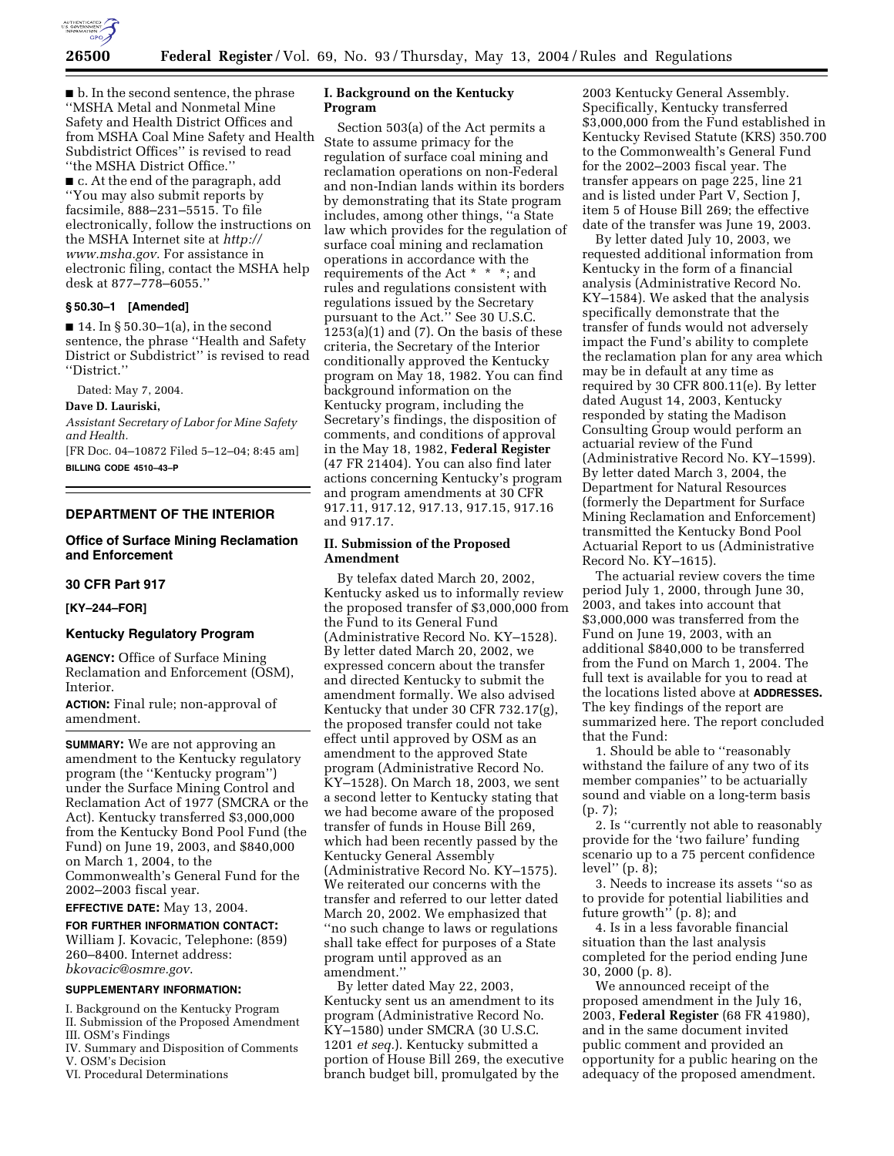

■ b. In the second sentence, the phrase ''MSHA Metal and Nonmetal Mine Safety and Health District Offices and from MSHA Coal Mine Safety and Health Subdistrict Offices'' is revised to read ''the MSHA District Office.'' ■ c. At the end of the paragraph, add

''You may also submit reports by facsimile, 888–231–5515. To file electronically, follow the instructions on the MSHA Internet site at *http:// www.msha.gov.* For assistance in electronic filing, contact the MSHA help desk at 877–778–6055.''

#### **§ 50.30–1 [Amended]**

 $\blacksquare$  14. In § 50.30–1(a), in the second sentence, the phrase ''Health and Safety District or Subdistrict'' is revised to read ''District.''

Dated: May 7, 2004.

#### **Dave D. Lauriski,**

*Assistant Secretary of Labor for Mine Safety and Health.*

[FR Doc. 04–10872 Filed 5–12–04; 8:45 am] **BILLING CODE 4510–43–P**

# **DEPARTMENT OF THE INTERIOR**

# **Office of Surface Mining Reclamation and Enforcement**

# **30 CFR Part 917**

#### **[KY–244–FOR]**

### **Kentucky Regulatory Program**

**AGENCY:** Office of Surface Mining Reclamation and Enforcement (OSM), Interior.

**ACTION:** Final rule; non-approval of amendment.

**SUMMARY:** We are not approving an amendment to the Kentucky regulatory program (the ''Kentucky program'') under the Surface Mining Control and Reclamation Act of 1977 (SMCRA or the Act). Kentucky transferred \$3,000,000 from the Kentucky Bond Pool Fund (the Fund) on June 19, 2003, and \$840,000 on March 1, 2004, to the Commonwealth's General Fund for the 2002–2003 fiscal year.

**EFFECTIVE DATE:** May 13, 2004.

# **FOR FURTHER INFORMATION CONTACT:** William J. Kovacic, Telephone: (859)

260–8400. Internet address: *bkovacic@osmre.gov*.

## **SUPPLEMENTARY INFORMATION:**

I. Background on the Kentucky Program II. Submission of the Proposed Amendment

- III. OSM's Findings
- IV. Summary and Disposition of Comments V. OSM's Decision
- VI. Procedural Determinations

### **I. Background on the Kentucky Program**

Section 503(a) of the Act permits a State to assume primacy for the regulation of surface coal mining and reclamation operations on non-Federal and non-Indian lands within its borders by demonstrating that its State program includes, among other things, ''a State law which provides for the regulation of surface coal mining and reclamation operations in accordance with the requirements of the Act \* \* \*; and rules and regulations consistent with regulations issued by the Secretary pursuant to the Act.'' See 30 U.S.C.  $1253(a)(1)$  and  $(7)$ . On the basis of these criteria, the Secretary of the Interior conditionally approved the Kentucky program on May 18, 1982. You can find background information on the Kentucky program, including the Secretary's findings, the disposition of comments, and conditions of approval in the May 18, 1982, **Federal Register** (47 FR 21404). You can also find later actions concerning Kentucky's program and program amendments at 30 CFR 917.11, 917.12, 917.13, 917.15, 917.16 and 917.17.

# **II. Submission of the Proposed Amendment**

By telefax dated March 20, 2002, Kentucky asked us to informally review the proposed transfer of \$3,000,000 from the Fund to its General Fund (Administrative Record No. KY–1528). By letter dated March 20, 2002, we expressed concern about the transfer and directed Kentucky to submit the amendment formally. We also advised Kentucky that under 30 CFR 732.17(g), the proposed transfer could not take effect until approved by OSM as an amendment to the approved State program (Administrative Record No. KY–1528). On March 18, 2003, we sent a second letter to Kentucky stating that we had become aware of the proposed transfer of funds in House Bill 269, which had been recently passed by the Kentucky General Assembly (Administrative Record No. KY–1575). We reiterated our concerns with the transfer and referred to our letter dated March 20, 2002. We emphasized that ''no such change to laws or regulations shall take effect for purposes of a State program until approved as an amendment.''

By letter dated May 22, 2003, Kentucky sent us an amendment to its program (Administrative Record No. KY–1580) under SMCRA (30 U.S.C. 1201 *et seq.*). Kentucky submitted a portion of House Bill 269, the executive branch budget bill, promulgated by the

2003 Kentucky General Assembly. Specifically, Kentucky transferred \$3,000,000 from the Fund established in Kentucky Revised Statute (KRS) 350.700 to the Commonwealth's General Fund for the 2002–2003 fiscal year. The transfer appears on page 225, line 21 and is listed under Part V, Section J, item 5 of House Bill 269; the effective date of the transfer was June 19, 2003.

By letter dated July 10, 2003, we requested additional information from Kentucky in the form of a financial analysis (Administrative Record No. KY–1584). We asked that the analysis specifically demonstrate that the transfer of funds would not adversely impact the Fund's ability to complete the reclamation plan for any area which may be in default at any time as required by 30 CFR 800.11(e). By letter dated August 14, 2003, Kentucky responded by stating the Madison Consulting Group would perform an actuarial review of the Fund (Administrative Record No. KY–1599). By letter dated March 3, 2004, the Department for Natural Resources (formerly the Department for Surface Mining Reclamation and Enforcement) transmitted the Kentucky Bond Pool Actuarial Report to us (Administrative Record No. KY–1615).

The actuarial review covers the time period July 1, 2000, through June 30, 2003, and takes into account that \$3,000,000 was transferred from the Fund on June 19, 2003, with an additional \$840,000 to be transferred from the Fund on March 1, 2004. The full text is available for you to read at the locations listed above at **ADDRESSES.** The key findings of the report are summarized here. The report concluded that the Fund:

1. Should be able to ''reasonably withstand the failure of any two of its member companies'' to be actuarially sound and viable on a long-term basis (p. 7);

2. Is ''currently not able to reasonably provide for the 'two failure' funding scenario up to a 75 percent confidence level"  $(p, \bar{8})$ ;

3. Needs to increase its assets ''so as to provide for potential liabilities and future growth'' (p. 8); and

4. Is in a less favorable financial situation than the last analysis completed for the period ending June 30, 2000 (p. 8).

We announced receipt of the proposed amendment in the July 16, 2003, **Federal Register** (68 FR 41980), and in the same document invited public comment and provided an opportunity for a public hearing on the adequacy of the proposed amendment.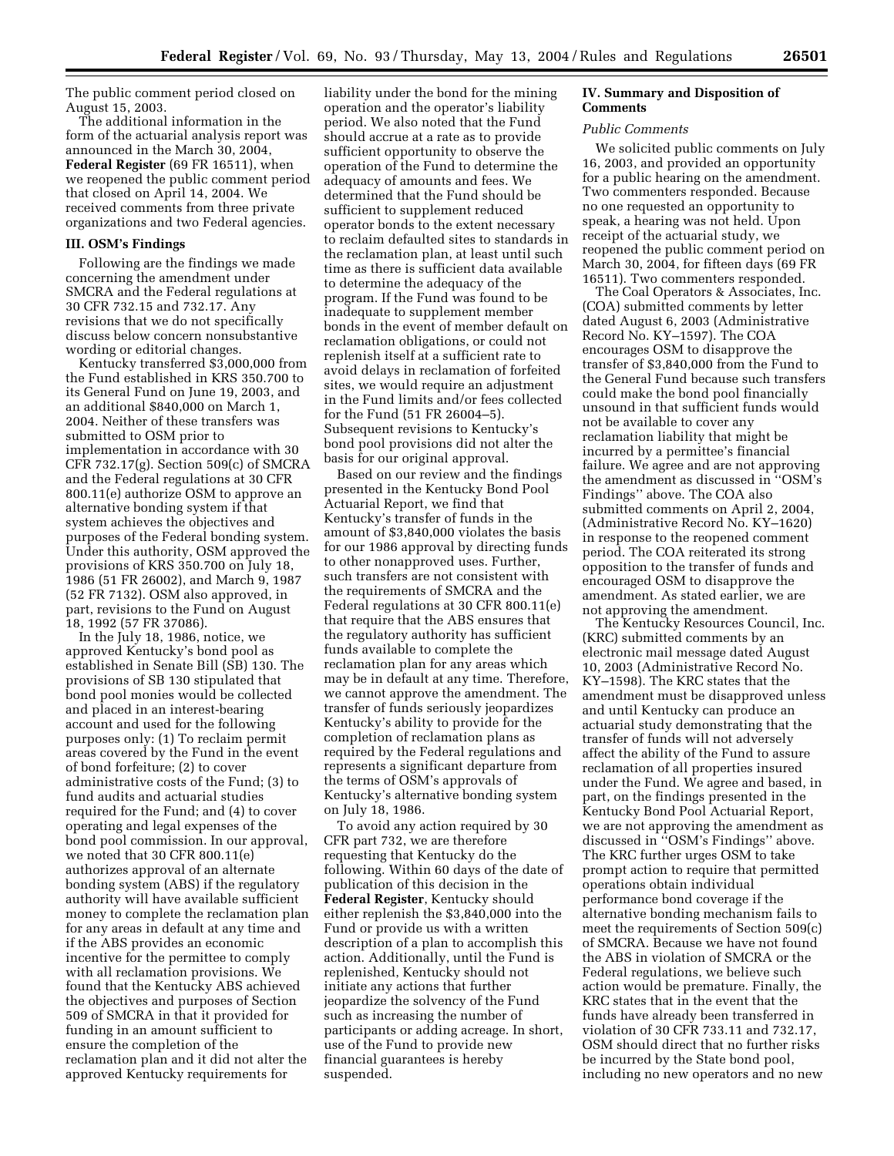The public comment period closed on August 15, 2003.

The additional information in the form of the actuarial analysis report was announced in the March 30, 2004, **Federal Register** (69 FR 16511), when we reopened the public comment period that closed on April 14, 2004. We received comments from three private organizations and two Federal agencies.

#### **III. OSM's Findings**

Following are the findings we made concerning the amendment under SMCRA and the Federal regulations at 30 CFR 732.15 and 732.17. Any revisions that we do not specifically discuss below concern nonsubstantive wording or editorial changes.

Kentucky transferred \$3,000,000 from the Fund established in KRS 350.700 to its General Fund on June 19, 2003, and an additional \$840,000 on March 1, 2004. Neither of these transfers was submitted to OSM prior to implementation in accordance with 30 CFR 732.17(g). Section 509(c) of SMCRA and the Federal regulations at 30 CFR 800.11(e) authorize OSM to approve an alternative bonding system if that system achieves the objectives and purposes of the Federal bonding system. Under this authority, OSM approved the provisions of KRS 350.700 on July 18, 1986 (51 FR 26002), and March 9, 1987 (52 FR 7132). OSM also approved, in part, revisions to the Fund on August 18, 1992 (57 FR 37086).

In the July 18, 1986, notice, we approved Kentucky's bond pool as established in Senate Bill (SB) 130. The provisions of SB 130 stipulated that bond pool monies would be collected and placed in an interest-bearing account and used for the following purposes only: (1) To reclaim permit areas covered by the Fund in the event of bond forfeiture; (2) to cover administrative costs of the Fund; (3) to fund audits and actuarial studies required for the Fund; and (4) to cover operating and legal expenses of the bond pool commission. In our approval, we noted that 30 CFR 800.11(e) authorizes approval of an alternate bonding system (ABS) if the regulatory authority will have available sufficient money to complete the reclamation plan for any areas in default at any time and if the ABS provides an economic incentive for the permittee to comply with all reclamation provisions. We found that the Kentucky ABS achieved the objectives and purposes of Section 509 of SMCRA in that it provided for funding in an amount sufficient to ensure the completion of the reclamation plan and it did not alter the approved Kentucky requirements for

liability under the bond for the mining operation and the operator's liability period. We also noted that the Fund should accrue at a rate as to provide sufficient opportunity to observe the operation of the Fund to determine the adequacy of amounts and fees. We determined that the Fund should be sufficient to supplement reduced operator bonds to the extent necessary to reclaim defaulted sites to standards in the reclamation plan, at least until such time as there is sufficient data available to determine the adequacy of the program. If the Fund was found to be inadequate to supplement member bonds in the event of member default on reclamation obligations, or could not replenish itself at a sufficient rate to avoid delays in reclamation of forfeited sites, we would require an adjustment in the Fund limits and/or fees collected for the Fund (51 FR 26004–5). Subsequent revisions to Kentucky's bond pool provisions did not alter the basis for our original approval.

Based on our review and the findings presented in the Kentucky Bond Pool Actuarial Report, we find that Kentucky's transfer of funds in the amount of \$3,840,000 violates the basis for our 1986 approval by directing funds to other nonapproved uses. Further, such transfers are not consistent with the requirements of SMCRA and the Federal regulations at 30 CFR 800.11(e) that require that the ABS ensures that the regulatory authority has sufficient funds available to complete the reclamation plan for any areas which may be in default at any time. Therefore, we cannot approve the amendment. The transfer of funds seriously jeopardizes Kentucky's ability to provide for the completion of reclamation plans as required by the Federal regulations and represents a significant departure from the terms of OSM's approvals of Kentucky's alternative bonding system on July 18, 1986.

To avoid any action required by 30 CFR part 732, we are therefore requesting that Kentucky do the following. Within 60 days of the date of publication of this decision in the **Federal Register**, Kentucky should either replenish the \$3,840,000 into the Fund or provide us with a written description of a plan to accomplish this action. Additionally, until the Fund is replenished, Kentucky should not initiate any actions that further jeopardize the solvency of the Fund such as increasing the number of participants or adding acreage. In short, use of the Fund to provide new financial guarantees is hereby suspended.

#### **IV. Summary and Disposition of Comments**

#### *Public Comments*

We solicited public comments on July 16, 2003, and provided an opportunity for a public hearing on the amendment. Two commenters responded. Because no one requested an opportunity to speak, a hearing was not held. Upon receipt of the actuarial study, we reopened the public comment period on March 30, 2004, for fifteen days (69 FR 16511). Two commenters responded.

The Coal Operators & Associates, Inc. (COA) submitted comments by letter dated August 6, 2003 (Administrative Record No. KY–1597). The COA encourages OSM to disapprove the transfer of \$3,840,000 from the Fund to the General Fund because such transfers could make the bond pool financially unsound in that sufficient funds would not be available to cover any reclamation liability that might be incurred by a permittee's financial failure. We agree and are not approving the amendment as discussed in ''OSM's Findings'' above. The COA also submitted comments on April 2, 2004, (Administrative Record No. KY–1620) in response to the reopened comment period. The COA reiterated its strong opposition to the transfer of funds and encouraged OSM to disapprove the amendment. As stated earlier, we are not approving the amendment.

The Kentucky Resources Council, Inc. (KRC) submitted comments by an electronic mail message dated August 10, 2003 (Administrative Record No. KY–1598). The KRC states that the amendment must be disapproved unless and until Kentucky can produce an actuarial study demonstrating that the transfer of funds will not adversely affect the ability of the Fund to assure reclamation of all properties insured under the Fund. We agree and based, in part, on the findings presented in the Kentucky Bond Pool Actuarial Report, we are not approving the amendment as discussed in ''OSM's Findings'' above. The KRC further urges OSM to take prompt action to require that permitted operations obtain individual performance bond coverage if the alternative bonding mechanism fails to meet the requirements of Section 509(c) of SMCRA. Because we have not found the ABS in violation of SMCRA or the Federal regulations, we believe such action would be premature. Finally, the KRC states that in the event that the funds have already been transferred in violation of 30 CFR 733.11 and 732.17, OSM should direct that no further risks be incurred by the State bond pool, including no new operators and no new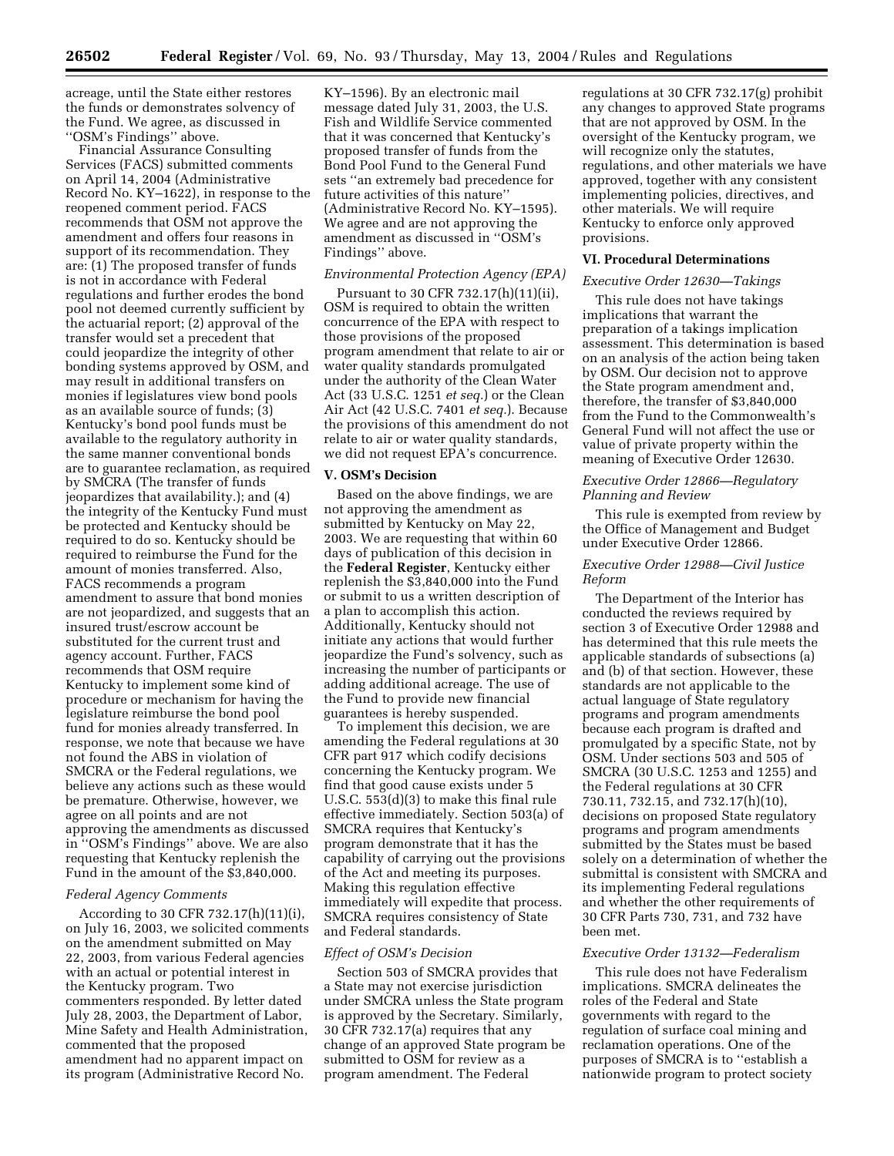acreage, until the State either restores the funds or demonstrates solvency of the Fund. We agree, as discussed in ''OSM's Findings'' above.

Financial Assurance Consulting Services (FACS) submitted comments on April 14, 2004 (Administrative Record No. KY–1622), in response to the reopened comment period. FACS recommends that OSM not approve the amendment and offers four reasons in support of its recommendation. They are: (1) The proposed transfer of funds is not in accordance with Federal regulations and further erodes the bond pool not deemed currently sufficient by the actuarial report; (2) approval of the transfer would set a precedent that could jeopardize the integrity of other bonding systems approved by OSM, and may result in additional transfers on monies if legislatures view bond pools as an available source of funds; (3) Kentucky's bond pool funds must be available to the regulatory authority in the same manner conventional bonds are to guarantee reclamation, as required by SMCRA (The transfer of funds jeopardizes that availability.); and (4) the integrity of the Kentucky Fund must be protected and Kentucky should be required to do so. Kentucky should be required to reimburse the Fund for the amount of monies transferred. Also, FACS recommends a program amendment to assure that bond monies are not jeopardized, and suggests that an insured trust/escrow account be substituted for the current trust and agency account. Further, FACS recommends that OSM require Kentucky to implement some kind of procedure or mechanism for having the legislature reimburse the bond pool fund for monies already transferred. In response, we note that because we have not found the ABS in violation of SMCRA or the Federal regulations, we believe any actions such as these would be premature. Otherwise, however, we agree on all points and are not approving the amendments as discussed in ''OSM's Findings'' above. We are also requesting that Kentucky replenish the Fund in the amount of the \$3,840,000.

#### *Federal Agency Comments*

According to 30 CFR 732.17(h)(11)(i), on July 16, 2003, we solicited comments on the amendment submitted on May 22, 2003, from various Federal agencies with an actual or potential interest in the Kentucky program. Two commenters responded. By letter dated July 28, 2003, the Department of Labor, Mine Safety and Health Administration, commented that the proposed amendment had no apparent impact on its program (Administrative Record No.

KY–1596). By an electronic mail message dated July 31, 2003, the U.S. Fish and Wildlife Service commented that it was concerned that Kentucky's proposed transfer of funds from the Bond Pool Fund to the General Fund sets ''an extremely bad precedence for future activities of this nature'' (Administrative Record No. KY–1595). We agree and are not approving the amendment as discussed in ''OSM's Findings'' above.

### *Environmental Protection Agency (EPA)*

Pursuant to 30 CFR 732.17(h)(11)(ii), OSM is required to obtain the written concurrence of the EPA with respect to those provisions of the proposed program amendment that relate to air or water quality standards promulgated under the authority of the Clean Water Act (33 U.S.C. 1251 *et seq.*) or the Clean Air Act (42 U.S.C. 7401 *et seq.*). Because the provisions of this amendment do not relate to air or water quality standards, we did not request EPA's concurrence.

#### **V. OSM's Decision**

Based on the above findings, we are not approving the amendment as submitted by Kentucky on May 22, 2003. We are requesting that within 60 days of publication of this decision in the **Federal Register**, Kentucky either replenish the \$3,840,000 into the Fund or submit to us a written description of a plan to accomplish this action. Additionally, Kentucky should not initiate any actions that would further jeopardize the Fund's solvency, such as increasing the number of participants or adding additional acreage. The use of the Fund to provide new financial guarantees is hereby suspended.

To implement this decision, we are amending the Federal regulations at 30 CFR part 917 which codify decisions concerning the Kentucky program. We find that good cause exists under 5 U.S.C. 553(d)(3) to make this final rule effective immediately. Section 503(a) of SMCRA requires that Kentucky's program demonstrate that it has the capability of carrying out the provisions of the Act and meeting its purposes. Making this regulation effective immediately will expedite that process. SMCRA requires consistency of State and Federal standards.

#### *Effect of OSM's Decision*

Section 503 of SMCRA provides that a State may not exercise jurisdiction under SMCRA unless the State program is approved by the Secretary. Similarly, 30 CFR 732.17(a) requires that any change of an approved State program be submitted to OSM for review as a program amendment. The Federal

regulations at 30 CFR 732.17(g) prohibit any changes to approved State programs that are not approved by OSM. In the oversight of the Kentucky program, we will recognize only the statutes, regulations, and other materials we have approved, together with any consistent implementing policies, directives, and other materials. We will require Kentucky to enforce only approved provisions.

#### **VI. Procedural Determinations**

# *Executive Order 12630—Takings*

This rule does not have takings implications that warrant the preparation of a takings implication assessment. This determination is based on an analysis of the action being taken by OSM. Our decision not to approve the State program amendment and, therefore, the transfer of \$3,840,000 from the Fund to the Commonwealth's General Fund will not affect the use or value of private property within the meaning of Executive Order 12630.

# *Executive Order 12866—Regulatory Planning and Review*

This rule is exempted from review by the Office of Management and Budget under Executive Order 12866.

### *Executive Order 12988—Civil Justice Reform*

The Department of the Interior has conducted the reviews required by section 3 of Executive Order 12988 and has determined that this rule meets the applicable standards of subsections (a) and (b) of that section. However, these standards are not applicable to the actual language of State regulatory programs and program amendments because each program is drafted and promulgated by a specific State, not by OSM. Under sections 503 and 505 of SMCRA (30 U.S.C. 1253 and 1255) and the Federal regulations at 30 CFR 730.11, 732.15, and 732.17(h)(10), decisions on proposed State regulatory programs and program amendments submitted by the States must be based solely on a determination of whether the submittal is consistent with SMCRA and its implementing Federal regulations and whether the other requirements of 30 CFR Parts 730, 731, and 732 have been met.

#### *Executive Order 13132—Federalism*

This rule does not have Federalism implications. SMCRA delineates the roles of the Federal and State governments with regard to the regulation of surface coal mining and reclamation operations. One of the purposes of SMCRA is to ''establish a nationwide program to protect society